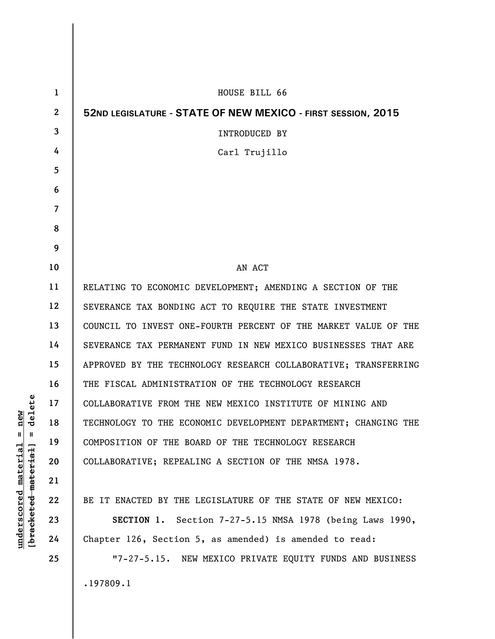| 1            | HOUSE BILL 66                                                   |
|--------------|-----------------------------------------------------------------|
| $\mathbf{2}$ | 52ND LEGISLATURE - STATE OF NEW MEXICO - FIRST SESSION, 2015    |
| 3            | <b>INTRODUCED BY</b>                                            |
| 4            | Carl Trujillo                                                   |
| 5            |                                                                 |
| 6            |                                                                 |
| 7            |                                                                 |
| 8            |                                                                 |
| 9            |                                                                 |
| 10           | AN ACT                                                          |
| 11           | RELATING TO ECONOMIC DEVELOPMENT; AMENDING A SECTION OF THE     |
| 12           | SEVERANCE TAX BONDING ACT TO REQUIRE THE STATE INVESTMENT       |
| 13           | COUNCIL TO INVEST ONE-FOURTH PERCENT OF THE MARKET VALUE OF THE |
| 14           | SEVERANCE TAX PERMANENT FUND IN NEW MEXICO BUSINESSES THAT ARE  |
| 15           | APPROVED BY THE TECHNOLOGY RESEARCH COLLABORATIVE; TRANSFERRING |
| 16           | THE FISCAL ADMINISTRATION OF THE TECHNOLOGY RESEARCH            |
| 17           | COLLABORATIVE FROM THE NEW MEXICO INSTITUTE OF MINING AND       |
| 18           | TECHNOLOGY TO THE ECONOMIC DEVELOPMENT DEPARTMENT; CHANGING THE |
| 19           | COMPOSITION OF THE BOARD OF THE TECHNOLOGY RESEARCH             |
| 20           | COLLABORATIVE; REPEALING A SECTION OF THE NMSA 1978.            |
| 21           |                                                                 |
| 22           | BE IT ENACTED BY THE LEGISLATURE OF THE STATE OF NEW MEXICO:    |
| 23           | SECTION 1. Section 7-27-5.15 NMSA 1978 (being Laws 1990,        |
| 24           | Chapter 126, Section 5, as amended) is amended to read:         |
| 25           | "7-27-5.15. NEW MEXICO PRIVATE EQUITY FUNDS AND BUSINESS        |
|              | .197809.1                                                       |

 $[**bracket eted metert et**] = **del et e**$ **[bracketed material] = delete**  $underscored material = new$ **underscored material = new**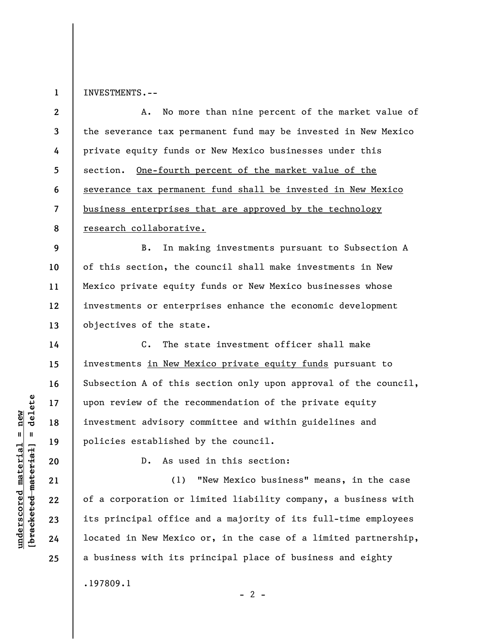**1**  INVESTMENTS.--

**2 3 4 5 6 7 8**  A. No more than nine percent of the market value of the severance tax permanent fund may be invested in New Mexico private equity funds or New Mexico businesses under this section. One-fourth percent of the market value of the severance tax permanent fund shall be invested in New Mexico business enterprises that are approved by the technology research collaborative.

**9 10 11 12 13**  B. In making investments pursuant to Subsection A of this section, the council shall make investments in New Mexico private equity funds or New Mexico businesses whose investments or enterprises enhance the economic development objectives of the state.

C. The state investment officer shall make investments in New Mexico private equity funds pursuant to Subsection A of this section only upon approval of the council, upon review of the recommendation of the private equity investment advisory committee and within guidelines and policies established by the council.

 $\frac{1}{2}$  intereted material = delete **[bracketed material] = delete 20 21** 

**14** 

**15** 

**16** 

**17** 

**18** 

**19** 

**22** 

**23** 

**24** 

**25** 

**underscored material = new**

 $underscored material = new$ 

D. As used in this section:

(1) "New Mexico business" means, in the case of a corporation or limited liability company, a business with its principal office and a majority of its full-time employees located in New Mexico or, in the case of a limited partnership, a business with its principal place of business and eighty .197809.1

 $- 2 -$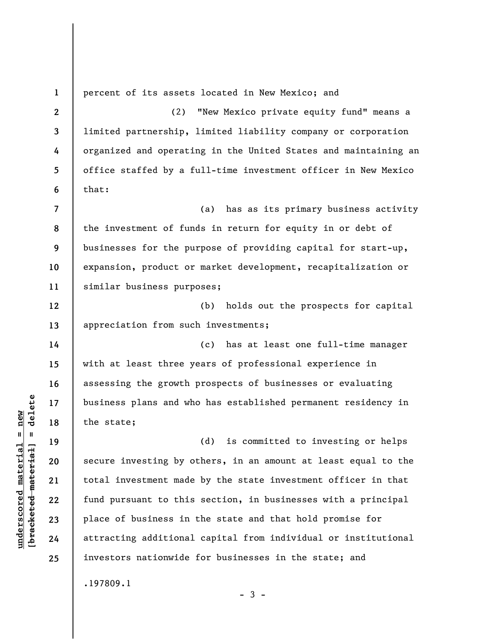**1 2 3 4 5 6 7 8 9 10 11 12 13 14 15 16 17 18 19 20 21 22 23 24 25**  percent of its assets located in New Mexico; and (2) "New Mexico private equity fund" means a limited partnership, limited liability company or corporation organized and operating in the United States and maintaining an office staffed by a full-time investment officer in New Mexico that: (a) has as its primary business activity the investment of funds in return for equity in or debt of businesses for the purpose of providing capital for start-up, expansion, product or market development, recapitalization or similar business purposes; (b) holds out the prospects for capital appreciation from such investments; (c) has at least one full-time manager with at least three years of professional experience in assessing the growth prospects of businesses or evaluating business plans and who has established permanent residency in the state; (d) is committed to investing or helps secure investing by others, in an amount at least equal to the total investment made by the state investment officer in that fund pursuant to this section, in businesses with a principal place of business in the state and that hold promise for attracting additional capital from individual or institutional investors nationwide for businesses in the state; and .197809.1  $-3 -$ 

**underscored material = new [bracketed material] = delete**

 $\frac{1}{2}$  intereted material = delete  $underscored material = new$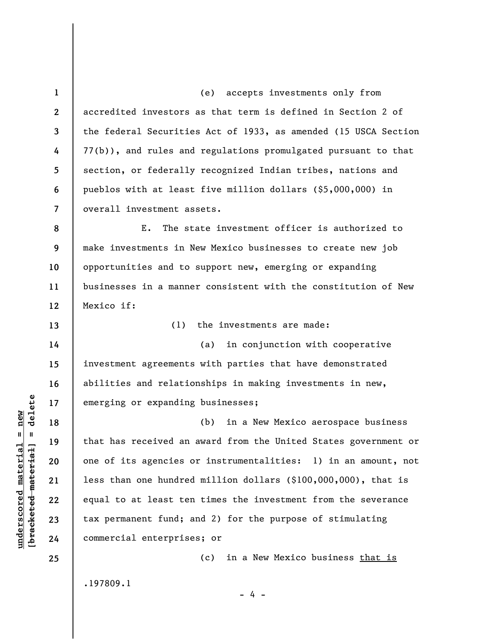**1 2 3 4 5 6 7**  (e) accepts investments only from accredited investors as that term is defined in Section 2 of the federal Securities Act of 1933, as amended (15 USCA Section 77(b)), and rules and regulations promulgated pursuant to that section, or federally recognized Indian tribes, nations and pueblos with at least five million dollars (\$5,000,000) in overall investment assets.

**8 9 10 11 12**  E. The state investment officer is authorized to make investments in New Mexico businesses to create new job opportunities and to support new, emerging or expanding businesses in a manner consistent with the constitution of New Mexico if:

(1) the investments are made:

(a) in conjunction with cooperative investment agreements with parties that have demonstrated abilities and relationships in making investments in new, emerging or expanding businesses;

(b) in a New Mexico aerospace business that has received an award from the United States government or one of its agencies or instrumentalities: 1) in an amount, not less than one hundred million dollars (\$100,000,000), that is equal to at least ten times the investment from the severance tax permanent fund; and 2) for the purpose of stimulating commercial enterprises; or

- 4 -

(c) in a New Mexico business that is

.197809.1

 $\frac{1}{2}$  intereted material = delete **[bracketed material] = delete**  $underscored material = new$ **underscored material = new**

**13** 

**14** 

**15** 

**16** 

**17** 

**18** 

**19** 

**20** 

**21** 

**22** 

**23** 

**24**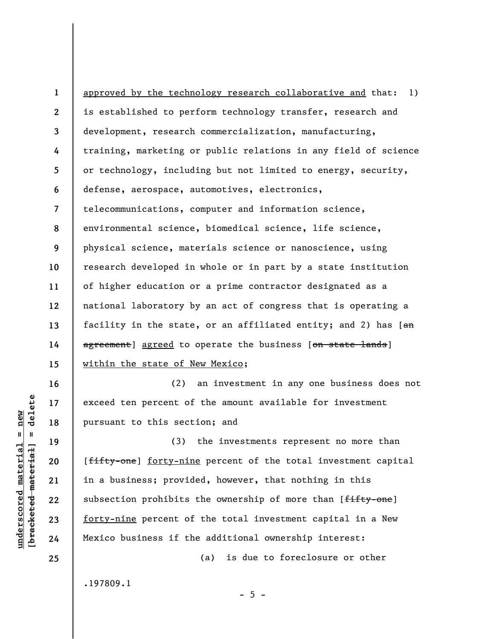**1 2 3 4 5 6 7 8 9 10 11 12 13 14 15**  approved by the technology research collaborative and that: 1) is established to perform technology transfer, research and development, research commercialization, manufacturing, training, marketing or public relations in any field of science or technology, including but not limited to energy, security, defense, aerospace, automotives, electronics, telecommunications, computer and information science, environmental science, biomedical science, life science, physical science, materials science or nanoscience, using research developed in whole or in part by a state institution of higher education or a prime contractor designated as a national laboratory by an act of congress that is operating a facility in the state, or an affiliated entity; and 2) has  $\left[\frac{a_n}{a_n}\right]$ agreement] agreed to operate the business [on state lands] within the state of New Mexico;

(2) an investment in any one business does not exceed ten percent of the amount available for investment pursuant to this section; and

(3) the investments represent no more than [fifty-one] forty-nine percent of the total investment capital in a business; provided, however, that nothing in this subsection prohibits the ownership of more than [fifty-one] forty-nine percent of the total investment capital in a New Mexico business if the additional ownership interest:

 $- 5 -$ 

(a) is due to foreclosure or other

.197809.1

delete **[bracketed material] = delete**  $underscored material = new$ **underscored material = new**  $\frac{1}{2}$ 

**16** 

**17** 

**18** 

**19** 

**20** 

**21** 

**22** 

**23** 

**24**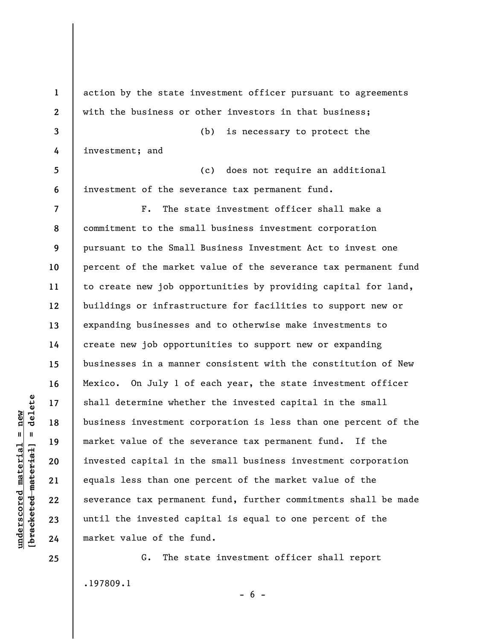**1 2 3 4 5 6 7 8 9 10 11 12 13 14 15 16 17 18 19 20 21 22 23 24**  action by the state investment officer pursuant to agreements with the business or other investors in that business; (b) is necessary to protect the investment; and (c) does not require an additional investment of the severance tax permanent fund. F. The state investment officer shall make a commitment to the small business investment corporation pursuant to the Small Business Investment Act to invest one percent of the market value of the severance tax permanent fund to create new job opportunities by providing capital for land, buildings or infrastructure for facilities to support new or expanding businesses and to otherwise make investments to create new job opportunities to support new or expanding businesses in a manner consistent with the constitution of New Mexico. On July 1 of each year, the state investment officer shall determine whether the invested capital in the small business investment corporation is less than one percent of the market value of the severance tax permanent fund. If the invested capital in the small business investment corporation equals less than one percent of the market value of the severance tax permanent fund, further commitments shall be made until the invested capital is equal to one percent of the market value of the fund.

G. The state investment officer shall report .197809.1

 $- 6 -$ 

 $\frac{1}{2}$  intereted material = delete **[bracketed material] = delete**  $underscored material = new$ **underscored material = new**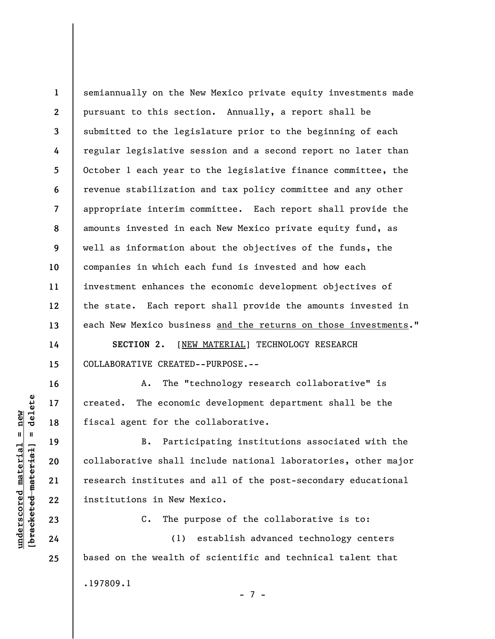**1 2 3 4 5 6 7 8 9 10 11 12 13**  semiannually on the New Mexico private equity investments made pursuant to this section. Annually, a report shall be submitted to the legislature prior to the beginning of each regular legislative session and a second report no later than October 1 each year to the legislative finance committee, the revenue stabilization and tax policy committee and any other appropriate interim committee. Each report shall provide the amounts invested in each New Mexico private equity fund, as well as information about the objectives of the funds, the companies in which each fund is invested and how each investment enhances the economic development objectives of the state. Each report shall provide the amounts invested in each New Mexico business and the returns on those investments."

**SECTION 2.** [NEW MATERIAL] TECHNOLOGY RESEARCH COLLABORATIVE CREATED--PURPOSE.--

A. The "technology research collaborative" is created. The economic development department shall be the fiscal agent for the collaborative.

B. Participating institutions associated with the collaborative shall include national laboratories, other major research institutes and all of the post-secondary educational institutions in New Mexico.

C. The purpose of the collaborative is to:

(1) establish advanced technology centers based on the wealth of scientific and technical talent that .197809.1 - 7 -

 $\frac{1}{2}$  intereted material = delete **[bracketed material] = delete**  $underscored material = new$ **underscored material = new**

**14** 

**15** 

**16** 

**17** 

**18** 

**19** 

**20** 

**21** 

**22** 

**23** 

**24**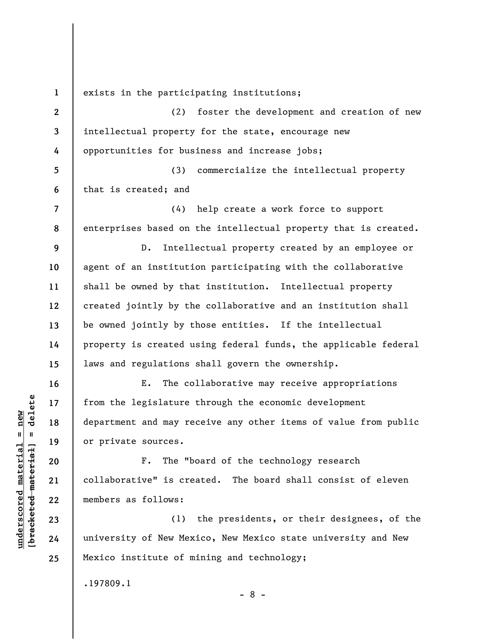**2** 

**7** 

**8** 

**9** 

**10** 

**11** 

**12** 

**13** 

**14** 

**15** 

**16** 

**17** 

**18** 

**19** 

**20** 

**21** 

**22** 

**23** 

**24** 

**25** 

**1** 

exists in the participating institutions;

**3 4**  (2) foster the development and creation of new intellectual property for the state, encourage new opportunities for business and increase jobs;

**5 6**  (3) commercialize the intellectual property that is created; and

(4) help create a work force to support enterprises based on the intellectual property that is created.

D. Intellectual property created by an employee or agent of an institution participating with the collaborative shall be owned by that institution. Intellectual property created jointly by the collaborative and an institution shall be owned jointly by those entities. If the intellectual property is created using federal funds, the applicable federal laws and regulations shall govern the ownership.

E. The collaborative may receive appropriations from the legislature through the economic development department and may receive any other items of value from public or private sources.

F. The "board of the technology research collaborative" is created. The board shall consist of eleven members as follows:

(1) the presidents, or their designees, of the university of New Mexico, New Mexico state university and New Mexico institute of mining and technology;

- 8 -

.197809.1

 $\frac{1}{2}$  intereted material = delete **[bracketed material] = delete**  $underscored material = new$ **underscored material = new**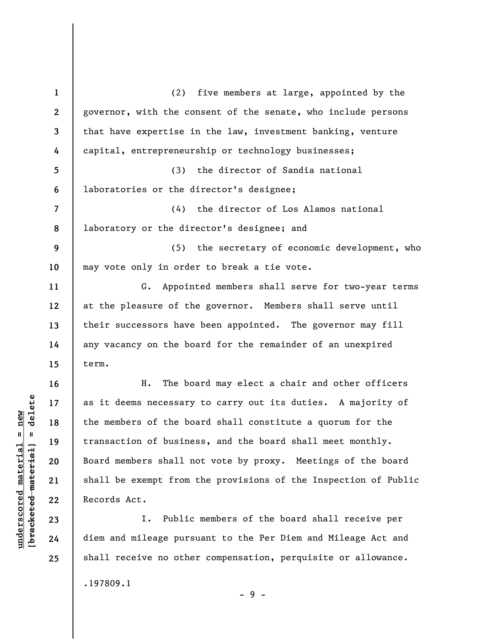**1 2 3 4 5 6 7 8 9 10 11 12 13 14 15 16 17 18 19 20 21 22 23 24**  (2) five members at large, appointed by the governor, with the consent of the senate, who include persons that have expertise in the law, investment banking, venture capital, entrepreneurship or technology businesses; (3) the director of Sandia national laboratories or the director's designee; (4) the director of Los Alamos national laboratory or the director's designee; and (5) the secretary of economic development, who may vote only in order to break a tie vote. G. Appointed members shall serve for two-year terms at the pleasure of the governor. Members shall serve until their successors have been appointed. The governor may fill any vacancy on the board for the remainder of an unexpired term. H. The board may elect a chair and other officers as it deems necessary to carry out its duties. A majority of the members of the board shall constitute a quorum for the transaction of business, and the board shall meet monthly. Board members shall not vote by proxy. Meetings of the board shall be exempt from the provisions of the Inspection of Public Records Act. I. Public members of the board shall receive per diem and mileage pursuant to the Per Diem and Mileage Act and

 $\frac{1}{2}$  intereted material = delete **[bracketed material] = delete**  $underscored material = new$ **underscored material = new**

**25** 

.197809.1

- 9 -

shall receive no other compensation, perquisite or allowance.